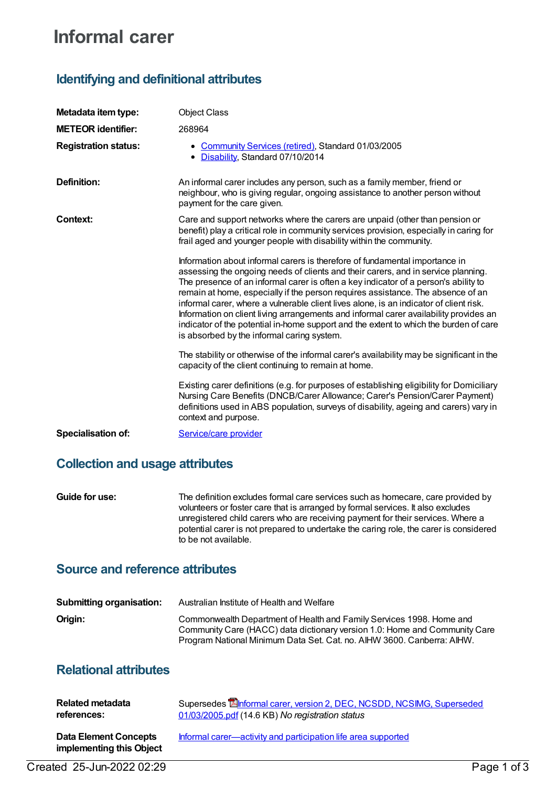# **Informal carer**

# **Identifying and definitional attributes**

| Metadata item type:         | <b>Object Class</b>                                                                                                                                                                                                                                                                                                                                                                                                                                                                                                                                                                                                                                                  |
|-----------------------------|----------------------------------------------------------------------------------------------------------------------------------------------------------------------------------------------------------------------------------------------------------------------------------------------------------------------------------------------------------------------------------------------------------------------------------------------------------------------------------------------------------------------------------------------------------------------------------------------------------------------------------------------------------------------|
| <b>METEOR identifier:</b>   | 268964                                                                                                                                                                                                                                                                                                                                                                                                                                                                                                                                                                                                                                                               |
| <b>Registration status:</b> | • Community Services (retired), Standard 01/03/2005<br>• Disability, Standard 07/10/2014                                                                                                                                                                                                                                                                                                                                                                                                                                                                                                                                                                             |
| <b>Definition:</b>          | An informal carer includes any person, such as a family member, friend or<br>neighbour, who is giving regular, ongoing assistance to another person without<br>payment for the care given.                                                                                                                                                                                                                                                                                                                                                                                                                                                                           |
| Context:                    | Care and support networks where the carers are unpaid (other than pension or<br>benefit) play a critical role in community services provision, especially in caring for<br>frail aged and younger people with disability within the community.                                                                                                                                                                                                                                                                                                                                                                                                                       |
|                             | Information about informal carers is therefore of fundamental importance in<br>assessing the ongoing needs of clients and their carers, and in service planning.<br>The presence of an informal carer is often a key indicator of a person's ability to<br>remain at home, especially if the person requires assistance. The absence of an<br>informal carer, where a vulnerable client lives alone, is an indicator of client risk.<br>Information on client living arrangements and informal carer availability provides an<br>indicator of the potential in-home support and the extent to which the burden of care<br>is absorbed by the informal caring system. |
|                             | The stability or otherwise of the informal carer's availability may be significant in the<br>capacity of the client continuing to remain at home.                                                                                                                                                                                                                                                                                                                                                                                                                                                                                                                    |
|                             | Existing carer definitions (e.g. for purposes of establishing eligibility for Domiciliary<br>Nursing Care Benefits (DNCB/Carer Allowance; Carer's Pension/Carer Payment)<br>definitions used in ABS population, surveys of disability, ageing and carers) vary in<br>context and purpose.                                                                                                                                                                                                                                                                                                                                                                            |
| <b>Specialisation of:</b>   | Service/care provider                                                                                                                                                                                                                                                                                                                                                                                                                                                                                                                                                                                                                                                |

### **Collection and usage attributes**

**Guide for use:** The definition excludes formal care services such as homecare, care provided by volunteers or foster care that is arranged by formal services. It also excludes unregistered child carers who are receiving payment for their services. Where a potential carer is not prepared to undertake the caring role, the carer is considered to be not available.

### **Source and reference attributes**

| <b>Submitting organisation:</b> | Australian Institute of Health and Welfare                                                                                                                                                                                   |
|---------------------------------|------------------------------------------------------------------------------------------------------------------------------------------------------------------------------------------------------------------------------|
| Origin:                         | Commonwealth Department of Health and Family Services 1998. Home and<br>Community Care (HACC) data dictionary version 1.0: Home and Community Care<br>Program National Minimum Data Set. Cat. no. AIHW 3600. Canberra: AIHW. |

# **Relational attributes**

| <b>Related metadata</b>                                  | Supersedes <b>Enformal carer, version 2, DEC, NCSDD, NCSIMG, Superseded</b> |
|----------------------------------------------------------|-----------------------------------------------------------------------------|
| references:                                              | 01/03/2005.pdf (14.6 KB) No registration status                             |
| <b>Data Element Concepts</b><br>implementing this Object | Informal carer—activity and participation life area supported               |